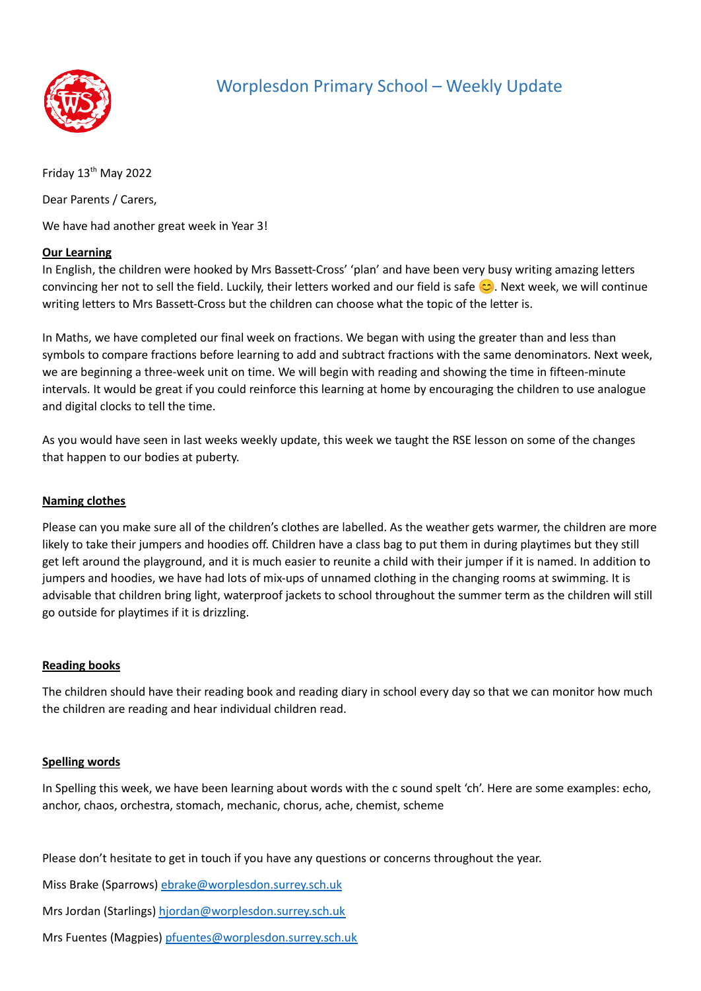

## Worplesdon Primary School – Weekly Update

Friday 13<sup>th</sup> May 2022

Dear Parents / Carers,

We have had another great week in Year 3!

### **Our Learning**

In English, the children were hooked by Mrs Bassett-Cross' 'plan' and have been very busy writing amazing letters convincing her not to sell the field. Luckily, their letters worked and our field is safe  $\heartsuit$ . Next week, we will continue writing letters to Mrs Bassett-Cross but the children can choose what the topic of the letter is.

In Maths, we have completed our final week on fractions. We began with using the greater than and less than symbols to compare fractions before learning to add and subtract fractions with the same denominators. Next week, we are beginning a three-week unit on time. We will begin with reading and showing the time in fifteen-minute intervals. It would be great if you could reinforce this learning at home by encouraging the children to use analogue and digital clocks to tell the time.

As you would have seen in last weeks weekly update, this week we taught the RSE lesson on some of the changes that happen to our bodies at puberty.

### **Naming clothes**

Please can you make sure all of the children's clothes are labelled. As the weather gets warmer, the children are more likely to take their jumpers and hoodies off. Children have a class bag to put them in during playtimes but they still get left around the playground, and it is much easier to reunite a child with their jumper if it is named. In addition to jumpers and hoodies, we have had lots of mix-ups of unnamed clothing in the changing rooms at swimming. It is advisable that children bring light, waterproof jackets to school throughout the summer term as the children will still go outside for playtimes if it is drizzling.

### **Reading books**

The children should have their reading book and reading diary in school every day so that we can monitor how much the children are reading and hear individual children read.

### **Spelling words**

In Spelling this week, we have been learning about words with the c sound spelt 'ch'. Here are some examples: echo, anchor, chaos, orchestra, stomach, mechanic, chorus, ache, chemist, scheme

Please don't hesitate to get in touch if you have any questions or concerns throughout the year.

Miss Brake (Sparrows) [ebrake@worplesdon.surrey.sch.uk](mailto:ebrake@worplesdon.surrey.sch.uk)

Mrs Jordan (Starlings) [hjordan@worplesdon.surrey.sch.uk](mailto:hjordan@worplesdon.surrey.sch.uk)

Mrs Fuentes (Magpies) [pfuentes@worplesdon.surrey.sch.uk](mailto:pfuentes@worplesdon.surrey.sch.uk)